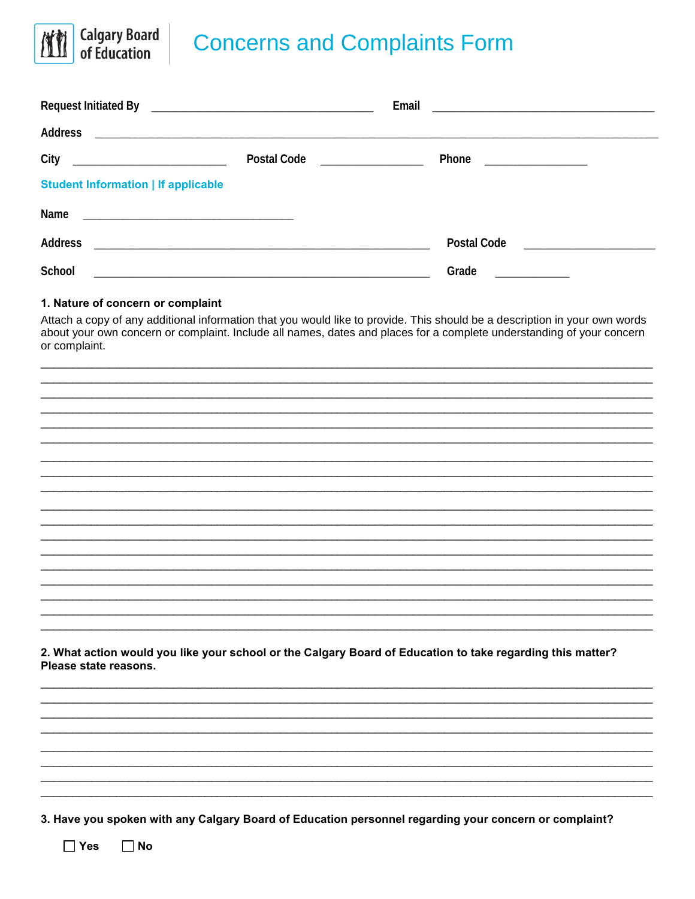

| City                                       | Postal Code __________________ | Phone _________________                                             |  |
|--------------------------------------------|--------------------------------|---------------------------------------------------------------------|--|
| <b>Student Information   If applicable</b> |                                |                                                                     |  |
|                                            |                                |                                                                     |  |
| <b>Address</b>                             |                                | <b>Postal Code</b><br><u> 1989 - Andrea Albert III, martin a bh</u> |  |
| School                                     |                                | Grade                                                               |  |

## 1. Nature of concern or complaint

**Calgary Board**<br>of Education

Attach a copy of any additional information that you would like to provide. This should be a description in your own words about your own concern or complaint. Include all names, dates and places for a complete understanding of your concern or complaint.

2. What action would you like your school or the Calgary Board of Education to take regarding this matter? Please state reasons.

3. Have you spoken with any Calgary Board of Education personnel regarding your concern or complaint?

 $\Box$  Yes  $\Box$  No